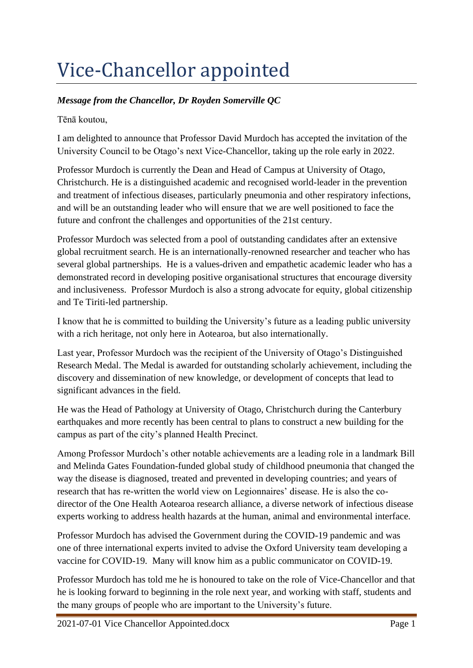## Vice-Chancellor appointed

## *Message from the Chancellor, Dr Royden Somerville QC*

Tēnā koutou,

I am delighted to announce that Professor David Murdoch has accepted the invitation of the University Council to be Otago's next Vice-Chancellor, taking up the role early in 2022.

Professor Murdoch is currently the Dean and Head of Campus at University of Otago, Christchurch. He is a distinguished academic and recognised world-leader in the prevention and treatment of infectious diseases, particularly pneumonia and other respiratory infections, and will be an outstanding leader who will ensure that we are well positioned to face the future and confront the challenges and opportunities of the 21st century.

Professor Murdoch was selected from a pool of outstanding candidates after an extensive global recruitment search. He is an internationally-renowned researcher and teacher who has several global partnerships. He is a values-driven and empathetic academic leader who has a demonstrated record in developing positive organisational structures that encourage diversity and inclusiveness. Professor Murdoch is also a strong advocate for equity, global citizenship and Te Tiriti-led partnership.

I know that he is committed to building the University's future as a leading public university with a rich heritage, not only here in Aotearoa, but also internationally.

Last year, Professor Murdoch was the recipient of the University of Otago's Distinguished Research Medal. The Medal is awarded for outstanding scholarly achievement, including the discovery and dissemination of new knowledge, or development of concepts that lead to significant advances in the field.

He was the Head of Pathology at University of Otago, Christchurch during the Canterbury earthquakes and more recently has been central to plans to construct a new building for the campus as part of the city's planned Health Precinct.

Among Professor Murdoch's other notable achievements are a leading role in a landmark Bill and Melinda Gates Foundation-funded global study of childhood pneumonia that changed the way the disease is diagnosed, treated and prevented in developing countries; and years of research that has re-written the world view on Legionnaires' disease. He is also the codirector of the One Health Aotearoa research alliance, a diverse network of infectious disease experts working to address health hazards at the human, animal and environmental interface.

Professor Murdoch has advised the Government during the COVID-19 pandemic and was one of three international experts invited to advise the Oxford University team developing a vaccine for COVID-19. Many will know him as a public communicator on COVID-19.

Professor Murdoch has told me he is honoured to take on the role of Vice-Chancellor and that he is looking forward to beginning in the role next year, and working with staff, students and the many groups of people who are important to the University's future.